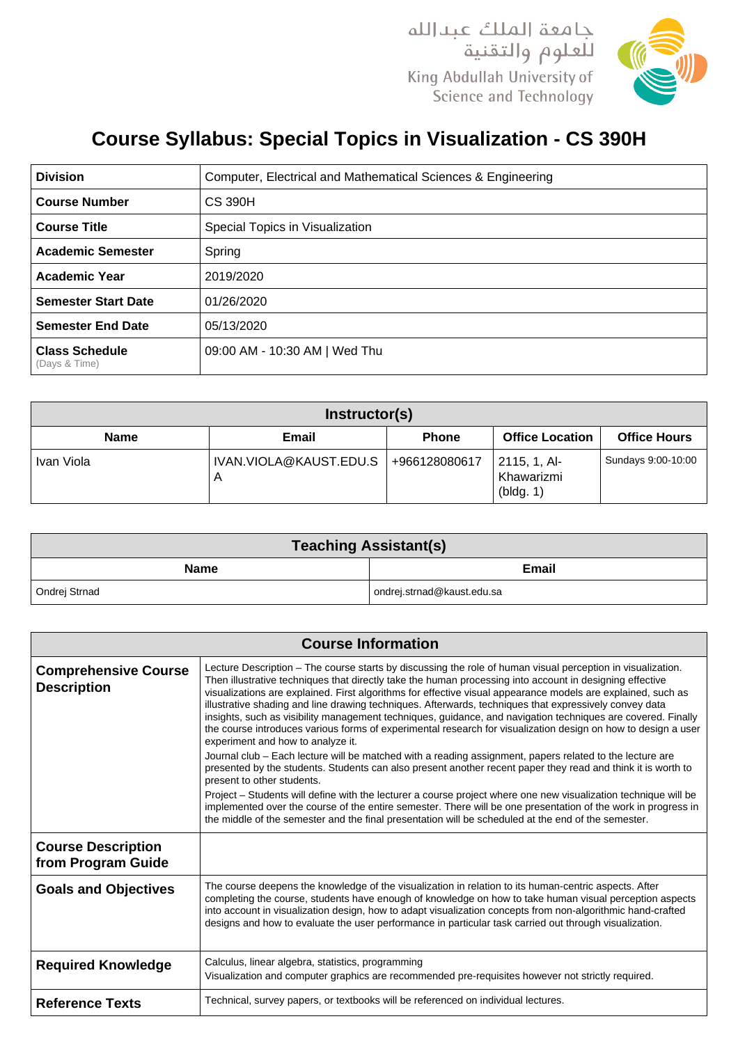

## **Course Syllabus: Special Topics in Visualization - CS 390H**

| <b>Division</b>                        | Computer, Electrical and Mathematical Sciences & Engineering |
|----------------------------------------|--------------------------------------------------------------|
| <b>Course Number</b>                   | <b>CS 390H</b>                                               |
| <b>Course Title</b>                    | Special Topics in Visualization                              |
| <b>Academic Semester</b>               | Spring                                                       |
| <b>Academic Year</b>                   | 2019/2020                                                    |
| <b>Semester Start Date</b>             | 01/26/2020                                                   |
| <b>Semester End Date</b>               | 05/13/2020                                                   |
| <b>Class Schedule</b><br>(Days & Time) | 09:00 AM - 10:30 AM   Wed Thu                                |

| Instructor(s) |                             |               |                                         |                     |
|---------------|-----------------------------|---------------|-----------------------------------------|---------------------|
| <b>Name</b>   | Email                       | <b>Phone</b>  | <b>Office Location</b>                  | <b>Office Hours</b> |
| Ivan Viola    | IVAN.VIOLA@KAUST.EDU.S<br>A | +966128080617 | 2115, 1, Al-<br>Khawarizmi<br>(bldg. 1) | Sundays 9:00-10:00  |

| <b>Teaching Assistant(s)</b> |                            |  |  |  |
|------------------------------|----------------------------|--|--|--|
| <b>Name</b>                  | <b>Email</b>               |  |  |  |
| Ondrei Strnad                | ondrej.strnad@kaust.edu.sa |  |  |  |

| <b>Course Information</b>                         |                                                                                                                                                                                                                                                                                                                                                                                                                                                                                                                                                                                                                                                                                                                                                                                                                                                                                                                                                                                                                                                                                                                                                                                                                                                                                                                              |  |
|---------------------------------------------------|------------------------------------------------------------------------------------------------------------------------------------------------------------------------------------------------------------------------------------------------------------------------------------------------------------------------------------------------------------------------------------------------------------------------------------------------------------------------------------------------------------------------------------------------------------------------------------------------------------------------------------------------------------------------------------------------------------------------------------------------------------------------------------------------------------------------------------------------------------------------------------------------------------------------------------------------------------------------------------------------------------------------------------------------------------------------------------------------------------------------------------------------------------------------------------------------------------------------------------------------------------------------------------------------------------------------------|--|
| <b>Comprehensive Course</b><br><b>Description</b> | Lecture Description – The course starts by discussing the role of human visual perception in visualization.<br>Then illustrative techniques that directly take the human processing into account in designing effective<br>visualizations are explained. First algorithms for effective visual appearance models are explained, such as<br>illustrative shading and line drawing techniques. Afterwards, techniques that expressively convey data<br>insights, such as visibility management techniques, guidance, and navigation techniques are covered. Finally<br>the course introduces various forms of experimental research for visualization design on how to design a user<br>experiment and how to analyze it.<br>Journal club – Each lecture will be matched with a reading assignment, papers related to the lecture are<br>presented by the students. Students can also present another recent paper they read and think it is worth to<br>present to other students.<br>Project – Students will define with the lecturer a course project where one new visualization technique will be<br>implemented over the course of the entire semester. There will be one presentation of the work in progress in<br>the middle of the semester and the final presentation will be scheduled at the end of the semester. |  |
| <b>Course Description</b><br>from Program Guide   |                                                                                                                                                                                                                                                                                                                                                                                                                                                                                                                                                                                                                                                                                                                                                                                                                                                                                                                                                                                                                                                                                                                                                                                                                                                                                                                              |  |
| <b>Goals and Objectives</b>                       | The course deepens the knowledge of the visualization in relation to its human-centric aspects. After<br>completing the course, students have enough of knowledge on how to take human visual perception aspects<br>into account in visualization design, how to adapt visualization concepts from non-algorithmic hand-crafted<br>designs and how to evaluate the user performance in particular task carried out through visualization.                                                                                                                                                                                                                                                                                                                                                                                                                                                                                                                                                                                                                                                                                                                                                                                                                                                                                    |  |
| <b>Required Knowledge</b>                         | Calculus, linear algebra, statistics, programming<br>Visualization and computer graphics are recommended pre-requisites however not strictly required.                                                                                                                                                                                                                                                                                                                                                                                                                                                                                                                                                                                                                                                                                                                                                                                                                                                                                                                                                                                                                                                                                                                                                                       |  |
| <b>Reference Texts</b>                            | Technical, survey papers, or textbooks will be referenced on individual lectures.                                                                                                                                                                                                                                                                                                                                                                                                                                                                                                                                                                                                                                                                                                                                                                                                                                                                                                                                                                                                                                                                                                                                                                                                                                            |  |